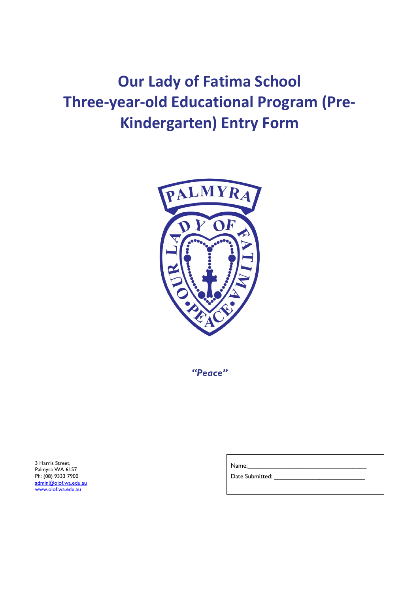# **Our Lady of Fatima School Three-year-old Educational Program (Pre-Kindergarten) Entry Form**



*"Peace"*

3 Harris Street, Palmyra WA 6157 Ph: (08) 9333 7900 admin@olof.wa.edu.au www.olof.wa.edu.au

Name:

Date Submitted: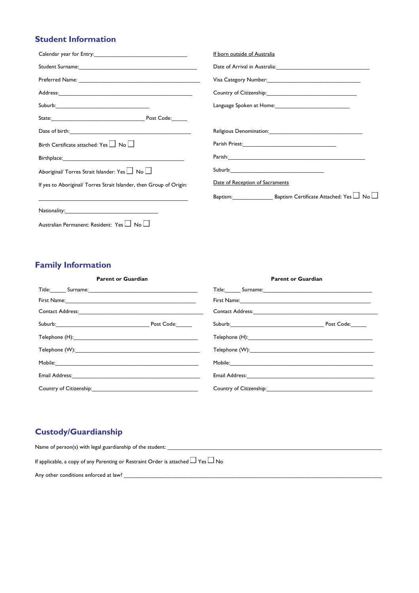## **Student Information**

|                                                                                                                                                                                                                                      | If born outside of Australia                        |
|--------------------------------------------------------------------------------------------------------------------------------------------------------------------------------------------------------------------------------------|-----------------------------------------------------|
|                                                                                                                                                                                                                                      |                                                     |
|                                                                                                                                                                                                                                      | Visa Category Number: 1997                          |
|                                                                                                                                                                                                                                      | Country of Citizenship: The Country of Citizenship: |
|                                                                                                                                                                                                                                      |                                                     |
|                                                                                                                                                                                                                                      |                                                     |
| Date of birth: <u>contained a series of the series of the series of the series of the series of the series of the series of the series of the series of the series of the series of the series of the series of the series of th</u> |                                                     |
| Birth Certificate attached: Yes $\Box$ No $\Box$                                                                                                                                                                                     |                                                     |
| Birthplace: Management and the state of the state of the state of the state of the state of the state of the state of the state of the state of the state of the state of the state of the state of the state of the state of        |                                                     |
| Aboriginal/ Torres Strait Islander: Yes $\Box$ No $\Box$                                                                                                                                                                             |                                                     |
| If yes to Aboriginal/ Torres Strait Islander, then Group of Origin:                                                                                                                                                                  | Date of Reception of Sacraments                     |
| and the state of the state of the state of the state of the state of the state of the state of the state of th                                                                                                                       |                                                     |
|                                                                                                                                                                                                                                      |                                                     |
| Australian Permanent: Resident: Yes In No                                                                                                                                                                                            |                                                     |

### **Family Information**

| <b>Parent or Guardian</b>                                                                                                                                                                                                      |            | <b>Parent or Guardian</b>                                                                                                                                                                                                      |            |
|--------------------------------------------------------------------------------------------------------------------------------------------------------------------------------------------------------------------------------|------------|--------------------------------------------------------------------------------------------------------------------------------------------------------------------------------------------------------------------------------|------------|
| Title: Surname: Surname: Surname: Surname: Surname: Surname: Surname: Surname: Surname: Surname: Surname: Surname: Surname: Surname: Surname: Surname: Surname: Surname: Surname: Surname: Surname: Surname: Surname: Surname: |            | Title: Surname: Surname: Surname: Surname: Surname: Surname: Surname: Surname: Surname: Surname: Surname: Surname: Surname: Surname: Surname: Surname: Surname: Surname: Surname: Surname: Surname: Surname: Surname: Surname: |            |
| First Name: 1988 Communication of the Communication of the Communication of the Communication of the Communication of the Communication of the Communication of the Communication of the Communication of the Communication of |            | First Name: Name: Name: Name: Name: Name: Name: Name: Name: Name: Name: Name: Name: Name: Name: Name: Name: Name: Name: Name: Name: Name: Name: Name: Name: Name: Name: Name: Name: Name: Name: Name: Name: Name: Name: Name:  |            |
|                                                                                                                                                                                                                                |            |                                                                                                                                                                                                                                |            |
|                                                                                                                                                                                                                                | Post Code: |                                                                                                                                                                                                                                | Post Code: |
| Telephone (H): Telephone (H):                                                                                                                                                                                                  |            |                                                                                                                                                                                                                                |            |
|                                                                                                                                                                                                                                |            |                                                                                                                                                                                                                                |            |
|                                                                                                                                                                                                                                |            |                                                                                                                                                                                                                                |            |
| Email Address: 2008. 2009. 2010. 2010. 2010. 2010. 2010. 2010. 2010. 2010. 2010. 2010. 2010. 2010. 2010. 2010                                                                                                                  |            |                                                                                                                                                                                                                                |            |
| Country of Citizenship: 2000                                                                                                                                                                                                   |            | Country of Citizenship: 2000                                                                                                                                                                                                   |            |

# **Custody/Guardianship**

| Name of person(s) with legal guardianship of the student:                                  |
|--------------------------------------------------------------------------------------------|
| If applicable, a copy of any Parenting or Restraint Order is attached $\Box$ Yes $\Box$ No |
| Any other conditions enforced at law?                                                      |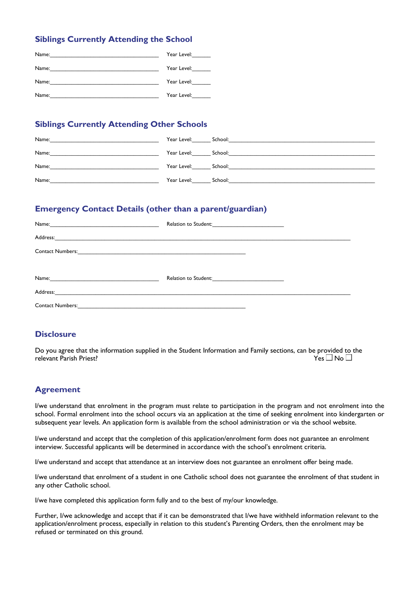#### **Siblings Currently Attending the School**

| Name: | Year Level: |
|-------|-------------|
| Name: | Year Level: |
| Name: | Year Level: |
| Name: | Year Level: |

#### **Siblings Currently Attending Other Schools**

| Name: | Year Level:         | School:<br>the control of the control of the control of the control of the control of the control of the control of the control of the control of the control of the control of the control of the control of the control of the control |
|-------|---------------------|------------------------------------------------------------------------------------------------------------------------------------------------------------------------------------------------------------------------------------------|
| Name: | Year Level:         | School:                                                                                                                                                                                                                                  |
| Name: | Year Level: School: |                                                                                                                                                                                                                                          |
| Name: | Year Level:         | School:                                                                                                                                                                                                                                  |

#### **Emergency Contact Details (other than a parent/guardian)**

| Name:                                                                                                                                           | Relation to Student:<br><u> 1980 - Jan Stein Stein Stein Stein Stein Stein Stein Stein Stein Stein Stein Stein Stein Stein Stein Stein S</u> |
|-------------------------------------------------------------------------------------------------------------------------------------------------|----------------------------------------------------------------------------------------------------------------------------------------------|
| Address:<br><u> 1989 - Johann Stoff, amerikansk politiker (d. 1989)</u>                                                                         |                                                                                                                                              |
| <b>Contact Numbers:</b><br><u> 1980 - Jan Barnett, martin de ferroar a forma de la forma de la forma de la forma de la forma de la forma de</u> |                                                                                                                                              |
|                                                                                                                                                 |                                                                                                                                              |
|                                                                                                                                                 |                                                                                                                                              |
| Address:<br>the contract of the contract of the contract of the contract of the contract of the contract of the                                 |                                                                                                                                              |
| <b>Contact Numbers:</b>                                                                                                                         |                                                                                                                                              |

#### **Disclosure**

Do you agree that the information supplied in the Student Information and Family sections, can be provided to the relevant Parish Priest? relevant Parish Priest?

#### **Agreement**

I/we understand that enrolment in the program must relate to participation in the program and not enrolment into the school. Formal enrolment into the school occurs via an application at the time of seeking enrolment into kindergarten or subsequent year levels. An application form is available from the school administration or via the school website.

I/we understand and accept that the completion of this application/enrolment form does not guarantee an enrolment interview. Successful applicants will be determined in accordance with the school's enrolment criteria.

I/we understand and accept that attendance at an interview does not guarantee an enrolment offer being made.

I/we understand that enrolment of a student in one Catholic school does not guarantee the enrolment of that student in any other Catholic school.

I/we have completed this application form fully and to the best of my/our knowledge.

Further, I/we acknowledge and accept that if it can be demonstrated that I/we have withheld information relevant to the application/enrolment process, especially in relation to this student's Parenting Orders, then the enrolment may be refused or terminated on this ground.